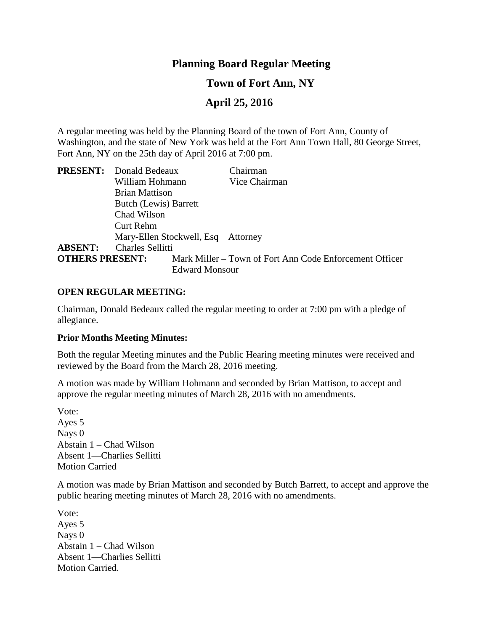# **Planning Board Regular Meeting**

## **Town of Fort Ann, NY**

# **April 25, 2016**

A regular meeting was held by the Planning Board of the town of Fort Ann, County of Washington, and the state of New York was held at the Fort Ann Town Hall, 80 George Street, Fort Ann, NY on the 25th day of April 2016 at 7:00 pm.

|                        | <b>PRESENT:</b> Donald Bedeaux     | Chairman                                                |
|------------------------|------------------------------------|---------------------------------------------------------|
|                        | William Hohmann                    | Vice Chairman                                           |
|                        | <b>Brian Mattison</b>              |                                                         |
|                        | Butch (Lewis) Barrett              |                                                         |
|                        | Chad Wilson                        |                                                         |
|                        | Curt Rehm                          |                                                         |
|                        | Mary-Ellen Stockwell, Esq Attorney |                                                         |
| <b>ABSENT:</b>         | <b>Charles Sellitti</b>            |                                                         |
| <b>OTHERS PRESENT:</b> |                                    | Mark Miller – Town of Fort Ann Code Enforcement Officer |
| <b>Edward Monsour</b>  |                                    |                                                         |

#### **OPEN REGULAR MEETING:**

Chairman, Donald Bedeaux called the regular meeting to order at 7:00 pm with a pledge of allegiance.

#### **Prior Months Meeting Minutes:**

Both the regular Meeting minutes and the Public Hearing meeting minutes were received and reviewed by the Board from the March 28, 2016 meeting.

A motion was made by William Hohmann and seconded by Brian Mattison, to accept and approve the regular meeting minutes of March 28, 2016 with no amendments.

Vote: Ayes 5 Nays 0 Abstain 1 – Chad Wilson Absent 1—Charlies Sellitti Motion Carried

A motion was made by Brian Mattison and seconded by Butch Barrett, to accept and approve the public hearing meeting minutes of March 28, 2016 with no amendments.

Vote: Ayes 5 Nays 0 Abstain 1 – Chad Wilson Absent 1—Charlies Sellitti Motion Carried.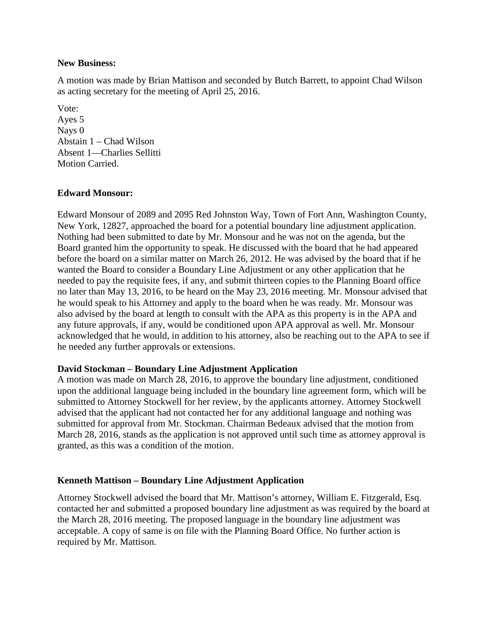#### **New Business:**

A motion was made by Brian Mattison and seconded by Butch Barrett, to appoint Chad Wilson as acting secretary for the meeting of April 25, 2016.

Vote: Ayes 5 Nays 0 Abstain 1 – Chad Wilson Absent 1—Charlies Sellitti Motion Carried.

### **Edward Monsour:**

Edward Monsour of 2089 and 2095 Red Johnston Way, Town of Fort Ann, Washington County, New York, 12827, approached the board for a potential boundary line adjustment application. Nothing had been submitted to date by Mr. Monsour and he was not on the agenda, but the Board granted him the opportunity to speak. He discussed with the board that he had appeared before the board on a similar matter on March 26, 2012. He was advised by the board that if he wanted the Board to consider a Boundary Line Adjustment or any other application that he needed to pay the requisite fees, if any, and submit thirteen copies to the Planning Board office no later than May 13, 2016, to be heard on the May 23, 2016 meeting. Mr. Monsour advised that he would speak to his Attorney and apply to the board when he was ready. Mr. Monsour was also advised by the board at length to consult with the APA as this property is in the APA and any future approvals, if any, would be conditioned upon APA approval as well. Mr. Monsour acknowledged that he would, in addition to his attorney, also be reaching out to the APA to see if he needed any further approvals or extensions.

#### **David Stockman – Boundary Line Adjustment Application**

A motion was made on March 28, 2016, to approve the boundary line adjustment, conditioned upon the additional language being included in the boundary line agreement form, which will be submitted to Attorney Stockwell for her review, by the applicants attorney. Attorney Stockwell advised that the applicant had not contacted her for any additional language and nothing was submitted for approval from Mr. Stockman. Chairman Bedeaux advised that the motion from March 28, 2016, stands as the application is not approved until such time as attorney approval is granted, as this was a condition of the motion.

#### **Kenneth Mattison – Boundary Line Adjustment Application**

Attorney Stockwell advised the board that Mr. Mattison's attorney, William E. Fitzgerald, Esq. contacted her and submitted a proposed boundary line adjustment as was required by the board at the March 28, 2016 meeting. The proposed language in the boundary line adjustment was acceptable. A copy of same is on file with the Planning Board Office. No further action is required by Mr. Mattison.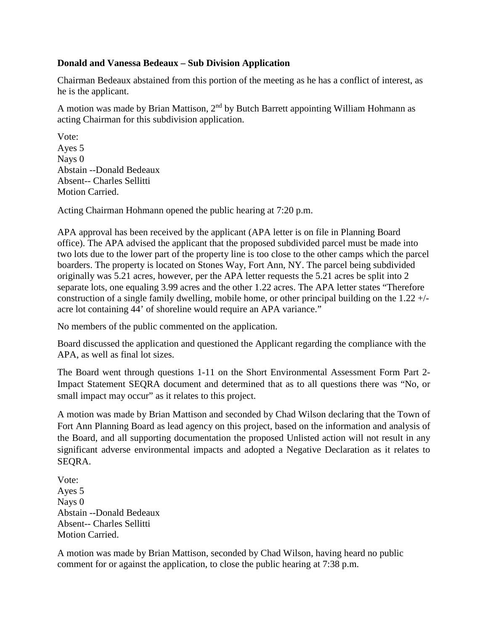### **Donald and Vanessa Bedeaux – Sub Division Application**

Chairman Bedeaux abstained from this portion of the meeting as he has a conflict of interest, as he is the applicant.

A motion was made by Brian Mattison,  $2<sup>nd</sup>$  by Butch Barrett appointing William Hohmann as acting Chairman for this subdivision application.

Vote: Ayes 5 Nays 0 Abstain --Donald Bedeaux Absent-- Charles Sellitti Motion Carried.

Acting Chairman Hohmann opened the public hearing at 7:20 p.m.

APA approval has been received by the applicant (APA letter is on file in Planning Board office). The APA advised the applicant that the proposed subdivided parcel must be made into two lots due to the lower part of the property line is too close to the other camps which the parcel boarders. The property is located on Stones Way, Fort Ann, NY. The parcel being subdivided originally was 5.21 acres, however, per the APA letter requests the 5.21 acres be split into 2 separate lots, one equaling 3.99 acres and the other 1.22 acres. The APA letter states "Therefore construction of a single family dwelling, mobile home, or other principal building on the 1.22 +/ acre lot containing 44' of shoreline would require an APA variance."

No members of the public commented on the application.

Board discussed the application and questioned the Applicant regarding the compliance with the APA, as well as final lot sizes.

The Board went through questions 1-11 on the Short Environmental Assessment Form Part 2- Impact Statement SEQRA document and determined that as to all questions there was "No, or small impact may occur" as it relates to this project.

A motion was made by Brian Mattison and seconded by Chad Wilson declaring that the Town of Fort Ann Planning Board as lead agency on this project, based on the information and analysis of the Board, and all supporting documentation the proposed Unlisted action will not result in any significant adverse environmental impacts and adopted a Negative Declaration as it relates to SEQRA.

Vote: Ayes 5 Nays 0 Abstain --Donald Bedeaux Absent-- Charles Sellitti Motion Carried.

A motion was made by Brian Mattison, seconded by Chad Wilson, having heard no public comment for or against the application, to close the public hearing at 7:38 p.m.